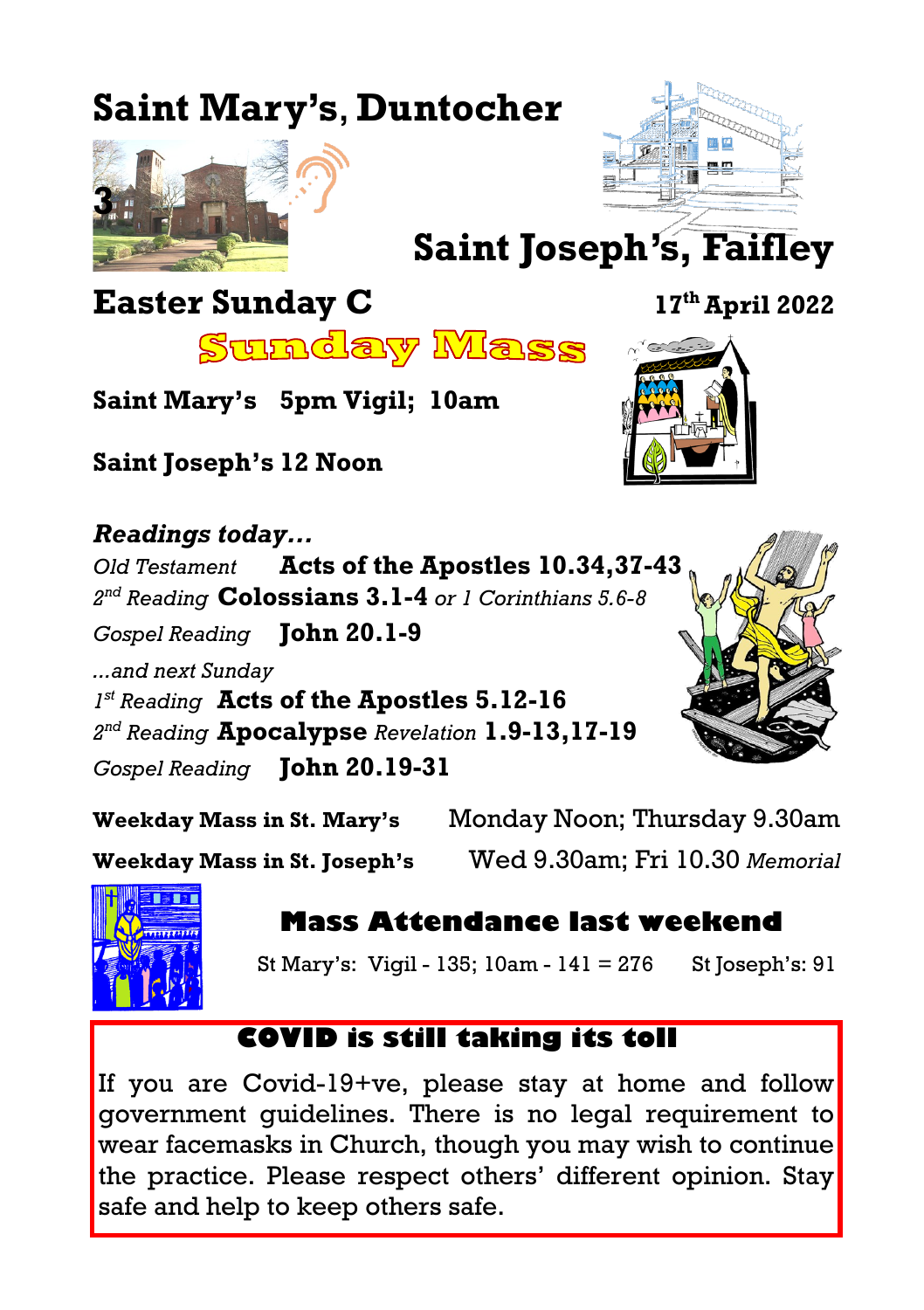# **Saint Mary's**, **Duntocher**





**Saint Joseph's, Faifley**

## **Easter Sunday C 17th April 2022**

<u>Sunday Mass</u>

**Saint Mary's 5pm Vigil; 10am**

**Saint Joseph's 12 Noon**

*Readings today... Old Testament* **Acts of the Apostles 10.34,37-43** *2 nd Reading* **Colossians 3.1-4** *or 1 Corinthians 5.6-8 Gospel Reading* **John 20.1-9** *...and next Sunday 1 st Reading* **Acts of the Apostles 5.12-16** *2 nd Reading* **Apocalypse** *Revelation* **1.9-13,17-19** *Gospel Reading* **John 20.19-31**



**Weekday Mass in St. Mary's** Monday Noon; Thursday 9.30am

**Weekday Mass in St. Joseph's** Wed 9.30am; Fri 10.30 *Memorial* 



**Mass Attendance last weekend**

St Mary's: Vigil - 135;  $10am - 141 = 276$  St Joseph's: 91

### **COVID is still taking its toll**

If you are Covid-19+ve, please stay at home and follow government guidelines. There is no legal requirement to wear facemasks in Church, though you may wish to continue the practice. Please respect others' different opinion. Stay safe and help to keep others safe.

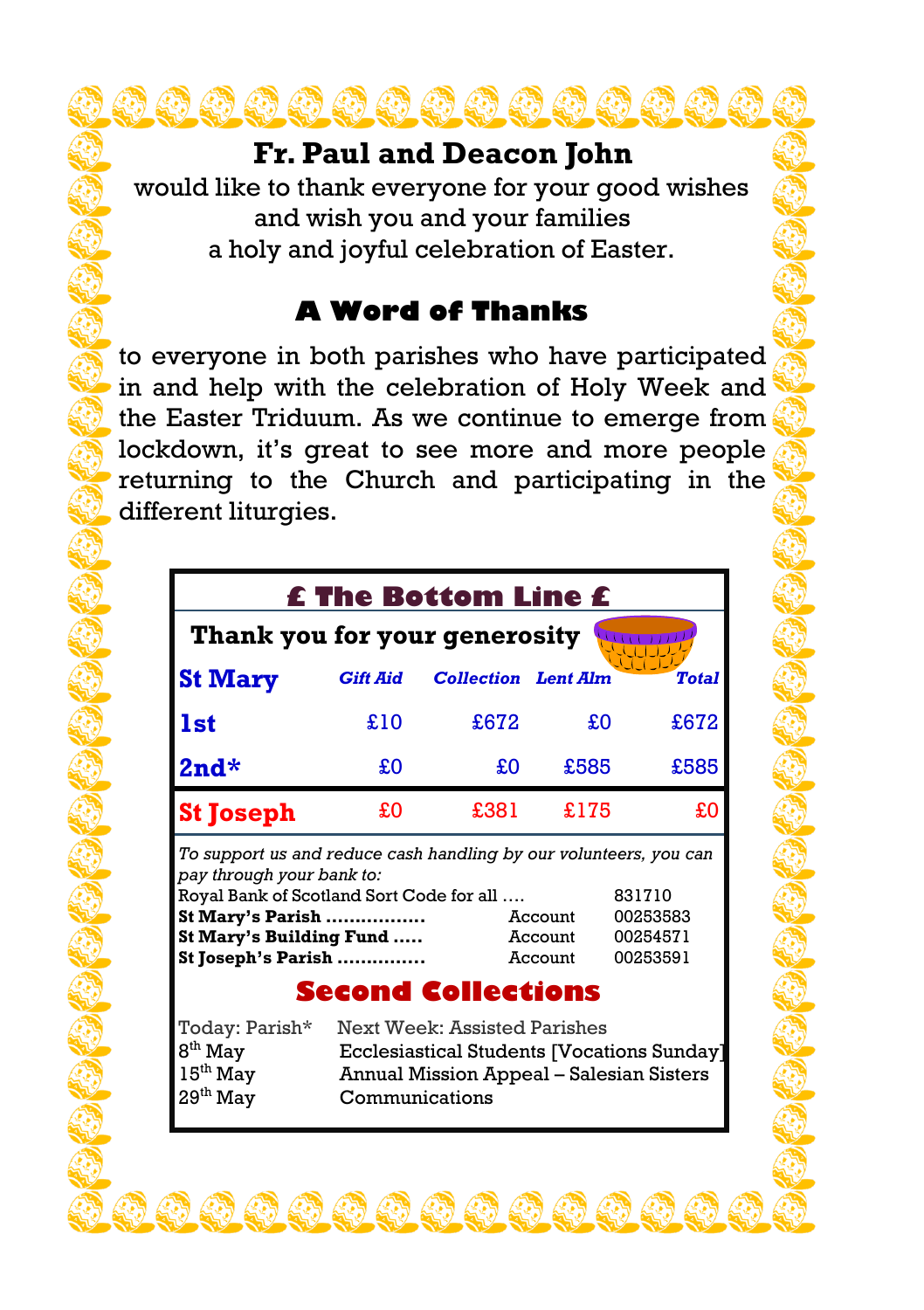### **Fr. Paul and Deacon John**

would like to thank everyone for your good wishes and wish you and your families a holy and joyful celebration of Easter.

### **A Word of Thanks**

to everyone in both parishes who have participated in and help with the celebration of Holy Week and the Easter Triduum. As we continue to emerge from lockdown, it's great to see more and more people returning to the Church and participating in the different liturgies.

| <b>£ The Bottom Line £</b>    |                 |                            |      |              |  |
|-------------------------------|-----------------|----------------------------|------|--------------|--|
| Thank you for your generosity |                 |                            |      |              |  |
| <b>St Mary</b>                | <b>Gift Aid</b> | <b>Collection</b> Lent Alm |      | <b>Total</b> |  |
| <b>1st</b>                    | £10             | £672                       | £O   | £672         |  |
| $2nd*$                        | £O              | £O                         | £585 | £585         |  |
| <b>St Joseph</b>              | £0              | £381                       | £175 | £O           |  |

*To support us and reduce cash handling by our volunteers, you can pay through your bank to:*

| Royal Bank of Scotland Sort Code for all | 831710  |          |
|------------------------------------------|---------|----------|
| St Mary's Parish                         | Account | 00253583 |
| St Mary's Building Fund                  | Account | 00254571 |
| St Joseph's Parish                       | Account | 00253591 |

### **Second Collections**

| Today: Parish*       | Next Week: Assisted Parishes               |
|----------------------|--------------------------------------------|
| $8th$ May            | Ecclesiastical Students [Vocations Sunday] |
| 15 <sup>th</sup> May | Annual Mission Appeal – Salesian Sisters   |
| 29 <sup>th</sup> May | Communications                             |